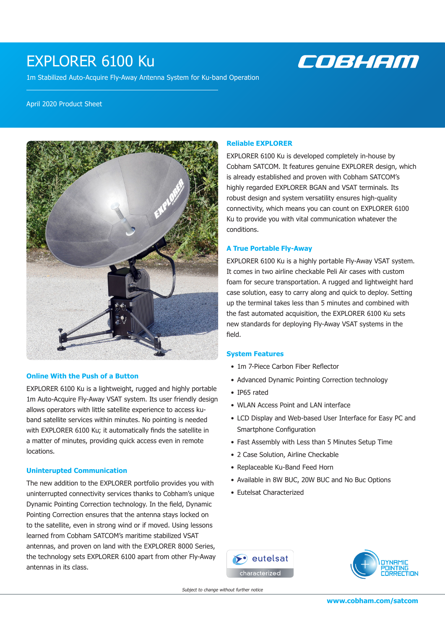# EXPLORER 6100 Ku

1m Stabilized Auto-Acquire Fly-Away Antenna System for Ku-band Operation

# COBHAM

#### April 2020 Product Sheet



### **Online With the Push of a Button**

EXPLORER 6100 Ku is a lightweight, rugged and highly portable 1m Auto-Acquire Fly-Away VSAT system. Its user friendly design allows operators with little satellite experience to access kuband satellite services within minutes. No pointing is needed with EXPLORER 6100 Ku; it automatically finds the satellite in a matter of minutes, providing quick access even in remote locations.

#### **Uninterupted Communication**

The new addition to the EXPLORER portfolio provides you with uninterrupted connectivity services thanks to Cobham's unique Dynamic Pointing Correction technology. In the field, Dynamic Pointing Correction ensures that the antenna stays locked on to the satellite, even in strong wind or if moved. Using lessons learned from Cobham SATCOM's maritime stabilized VSAT antennas, and proven on land with the EXPLORER 8000 Series, the technology sets EXPLORER 6100 apart from other Fly-Away antennas in its class.

### **Reliable EXPLORER**

EXPLORER 6100 Ku is developed completely in-house by Cobham SATCOM. It features genuine EXPLORER design, which is already established and proven with Cobham SATCOM's highly regarded EXPLORER BGAN and VSAT terminals. Its robust design and system versatility ensures high-quality connectivity, which means you can count on EXPLORER 6100 Ku to provide you with vital communication whatever the conditions.

## **A True Portable Fly-Away**

EXPLORER 6100 Ku is a highly portable Fly-Away VSAT system. It comes in two airline checkable Peli Air cases with custom foam for secure transportation. A rugged and lightweight hard case solution, easy to carry along and quick to deploy. Setting up the terminal takes less than 5 minutes and combined with the fast automated acquisition, the EXPLORER 6100 Ku sets new standards for deploying Fly-Away VSAT systems in the field.

#### **System Features**

- 1m 7-Piece Carbon Fiber Reflector
- Advanced Dynamic Pointing Correction technology
- IP65 rated
- WLAN Access Point and LAN interface
- LCD Display and Web-based User Interface for Easy PC and Smartphone Configuration
- Fast Assembly with Less than 5 Minutes Setup Time
- 2 Case Solution, Airline Checkable
- Replaceable Ku-Band Feed Horn
- Available in 8W BUC, 20W BUC and No Buc Options
- Eutelsat Characterized





Subject to change without further notice